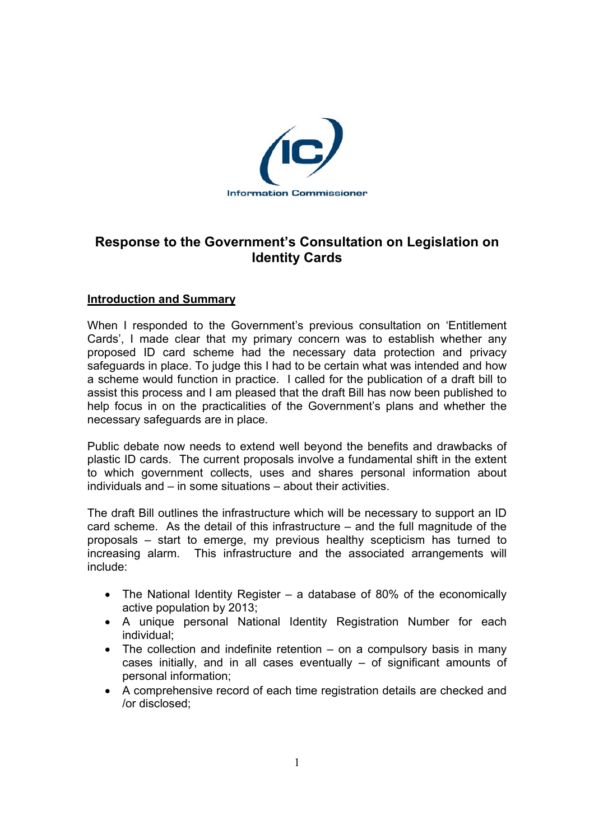

# **Response to the Government's Consultation on Legislation on Identity Cards**

# **Introduction and Summary**

When I responded to the Government's previous consultation on 'Entitlement Cards', I made clear that my primary concern was to establish whether any proposed ID card scheme had the necessary data protection and privacy safeguards in place. To judge this I had to be certain what was intended and how a scheme would function in practice. I called for the publication of a draft bill to assist this process and I am pleased that the draft Bill has now been published to help focus in on the practicalities of the Government's plans and whether the necessary safeguards are in place.

Public debate now needs to extend well beyond the benefits and drawbacks of plastic ID cards. The current proposals involve a fundamental shift in the extent to which government collects, uses and shares personal information about individuals and – in some situations – about their activities.

The draft Bill outlines the infrastructure which will be necessary to support an ID card scheme. As the detail of this infrastructure – and the full magnitude of the proposals – start to emerge, my previous healthy scepticism has turned to increasing alarm. This infrastructure and the associated arrangements will include:

- The National Identity Register a database of 80% of the economically active population by 2013;
- A unique personal National Identity Registration Number for each individual;
- The collection and indefinite retention on a compulsory basis in many cases initially, and in all cases eventually – of significant amounts of personal information;
- A comprehensive record of each time registration details are checked and /or disclosed;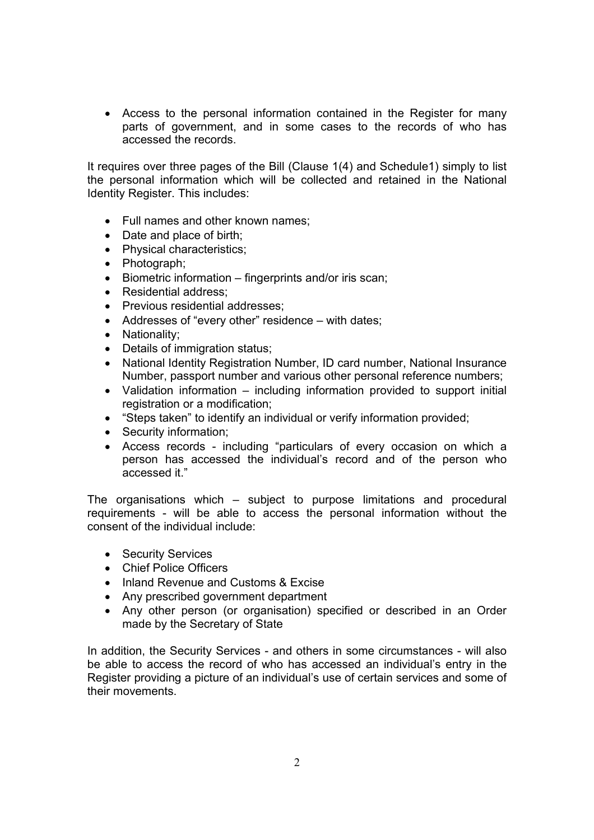• Access to the personal information contained in the Register for many parts of government, and in some cases to the records of who has accessed the records.

It requires over three pages of the Bill (Clause 1(4) and Schedule1) simply to list the personal information which will be collected and retained in the National Identity Register. This includes:

- Full names and other known names;
- Date and place of birth:
- Physical characteristics;
- Photograph;
- Biometric information fingerprints and/or iris scan;
- Residential address:
- Previous residential addresses;
- Addresses of "every other" residence with dates;
- Nationality;
- Details of immigration status;
- National Identity Registration Number, ID card number, National Insurance Number, passport number and various other personal reference numbers;
- Validation information including information provided to support initial registration or a modification;
- "Steps taken" to identify an individual or verify information provided;
- Security information;
- Access records including "particulars of every occasion on which a person has accessed the individual's record and of the person who accessed it."

The organisations which – subject to purpose limitations and procedural requirements - will be able to access the personal information without the consent of the individual include:

- Security Services
- Chief Police Officers
- Inland Revenue and Customs & Excise
- Any prescribed government department
- Any other person (or organisation) specified or described in an Order made by the Secretary of State

In addition, the Security Services - and others in some circumstances - will also be able to access the record of who has accessed an individual's entry in the Register providing a picture of an individual's use of certain services and some of their movements.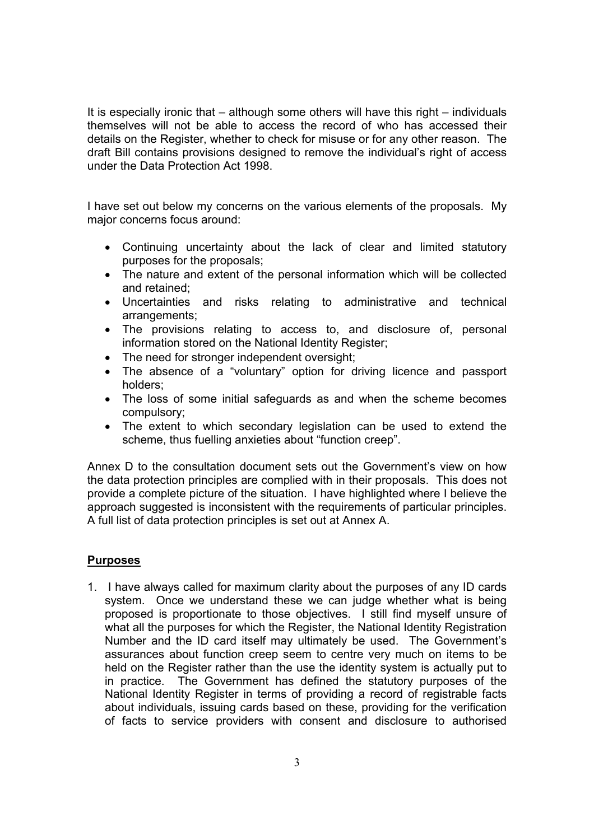It is especially ironic that – although some others will have this right – individuals themselves will not be able to access the record of who has accessed their details on the Register, whether to check for misuse or for any other reason. The draft Bill contains provisions designed to remove the individual's right of access under the Data Protection Act 1998.

I have set out below my concerns on the various elements of the proposals. My major concerns focus around:

- Continuing uncertainty about the lack of clear and limited statutory purposes for the proposals;
- The nature and extent of the personal information which will be collected and retained;
- Uncertainties and risks relating to administrative and technical arrangements;
- The provisions relating to access to, and disclosure of, personal information stored on the National Identity Register;
- The need for stronger independent oversight;
- The absence of a "voluntary" option for driving licence and passport holders;
- The loss of some initial safeguards as and when the scheme becomes compulsory;
- The extent to which secondary legislation can be used to extend the scheme, thus fuelling anxieties about "function creep".

Annex D to the consultation document sets out the Government's view on how the data protection principles are complied with in their proposals. This does not provide a complete picture of the situation. I have highlighted where I believe the approach suggested is inconsistent with the requirements of particular principles. A full list of data protection principles is set out at Annex A.

#### **Purposes**

1. I have always called for maximum clarity about the purposes of any ID cards system. Once we understand these we can judge whether what is being proposed is proportionate to those objectives. I still find myself unsure of what all the purposes for which the Register, the National Identity Registration Number and the ID card itself may ultimately be used. The Government's assurances about function creep seem to centre very much on items to be held on the Register rather than the use the identity system is actually put to in practice. The Government has defined the statutory purposes of the National Identity Register in terms of providing a record of registrable facts about individuals, issuing cards based on these, providing for the verification of facts to service providers with consent and disclosure to authorised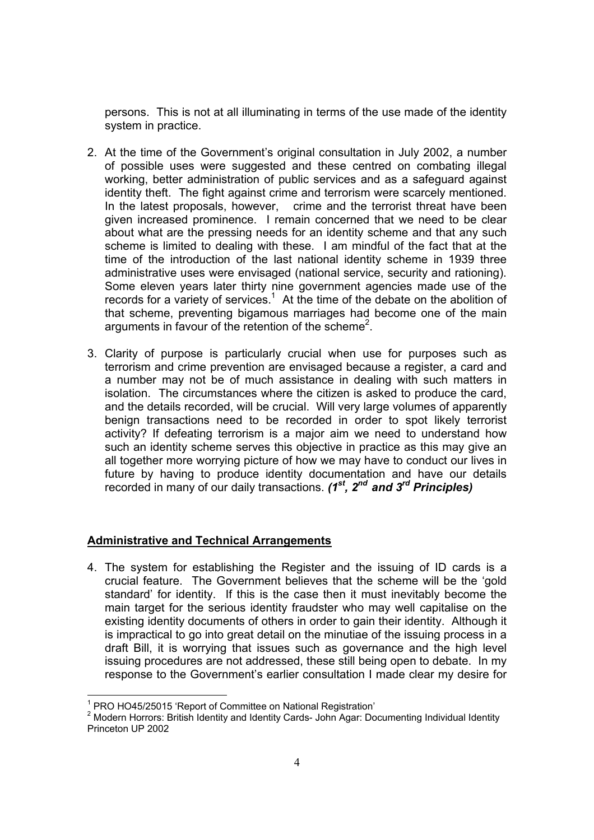persons. This is not at all illuminating in terms of the use made of the identity system in practice.

- 2. At the time of the Government's original consultation in July 2002, a number of possible uses were suggested and these centred on combating illegal working, better administration of public services and as a safeguard against identity theft. The fight against crime and terrorism were scarcely mentioned. In the latest proposals, however, crime and the terrorist threat have been given increased prominence. I remain concerned that we need to be clear about what are the pressing needs for an identity scheme and that any such scheme is limited to dealing with these. I am mindful of the fact that at the time of the introduction of the last national identity scheme in 1939 three administrative uses were envisaged (national service, security and rationing). Some eleven years later thirty nine government agencies made use of the records for a variety of services.<sup>1</sup> At the time of the debate on the abolition of that scheme, preventing bigamous marriages had become one of the main arguments in favour of the retention of the scheme<sup>2</sup>.
- 3. Clarity of purpose is particularly crucial when use for purposes such as terrorism and crime prevention are envisaged because a register, a card and a number may not be of much assistance in dealing with such matters in isolation. The circumstances where the citizen is asked to produce the card, and the details recorded, will be crucial. Will very large volumes of apparently benign transactions need to be recorded in order to spot likely terrorist activity? If defeating terrorism is a major aim we need to understand how such an identity scheme serves this objective in practice as this may give an all together more worrying picture of how we may have to conduct our lives in future by having to produce identity documentation and have our details recorded in many of our daily transactions. *(1st, 2nd and 3rd Principles)*

# **Administrative and Technical Arrangements**

4. The system for establishing the Register and the issuing of ID cards is a crucial feature. The Government believes that the scheme will be the 'gold standard' for identity. If this is the case then it must inevitably become the main target for the serious identity fraudster who may well capitalise on the existing identity documents of others in order to gain their identity. Although it is impractical to go into great detail on the minutiae of the issuing process in a draft Bill, it is worrying that issues such as governance and the high level issuing procedures are not addressed, these still being open to debate. In my response to the Government's earlier consultation I made clear my desire for

<sup>1</sup> PRO HO45/25015 'Report of Committee on National Registration'

<sup>&</sup>lt;sup>2</sup> Modern Horrors: British Identity and Identity Cards- John Agar: Documenting Individual Identity Princeton UP 2002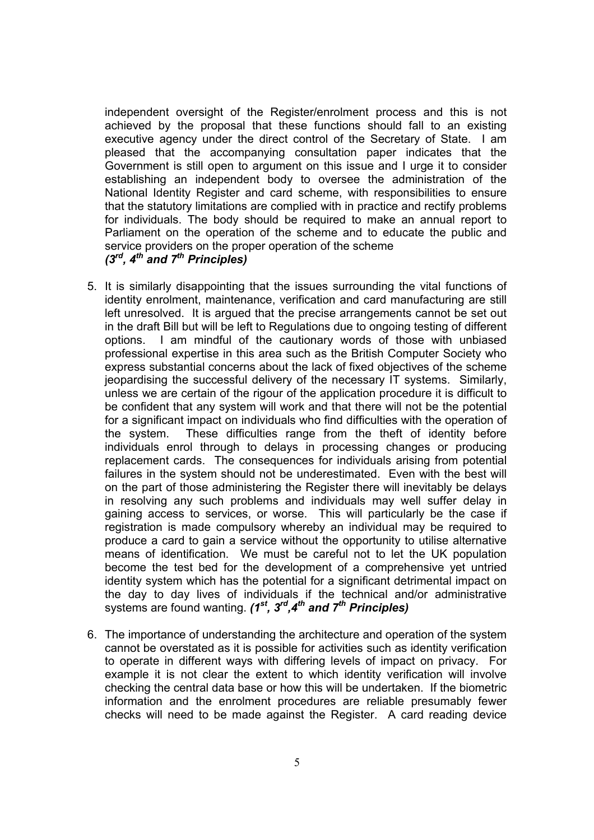independent oversight of the Register/enrolment process and this is not achieved by the proposal that these functions should fall to an existing executive agency under the direct control of the Secretary of State. I am pleased that the accompanying consultation paper indicates that the Government is still open to argument on this issue and I urge it to consider establishing an independent body to oversee the administration of the National Identity Register and card scheme, with responsibilities to ensure that the statutory limitations are complied with in practice and rectify problems for individuals. The body should be required to make an annual report to Parliament on the operation of the scheme and to educate the public and service providers on the proper operation of the scheme *(3rd, 4th and 7th Principles)* 

- 5. It is similarly disappointing that the issues surrounding the vital functions of identity enrolment, maintenance, verification and card manufacturing are still left unresolved. It is argued that the precise arrangements cannot be set out in the draft Bill but will be left to Regulations due to ongoing testing of different options. I am mindful of the cautionary words of those with unbiased professional expertise in this area such as the British Computer Society who express substantial concerns about the lack of fixed objectives of the scheme jeopardising the successful delivery of the necessary IT systems. Similarly, unless we are certain of the rigour of the application procedure it is difficult to be confident that any system will work and that there will not be the potential for a significant impact on individuals who find difficulties with the operation of the system. These difficulties range from the theft of identity before individuals enrol through to delays in processing changes or producing replacement cards. The consequences for individuals arising from potential failures in the system should not be underestimated. Even with the best will on the part of those administering the Register there will inevitably be delays in resolving any such problems and individuals may well suffer delay in gaining access to services, or worse. This will particularly be the case if registration is made compulsory whereby an individual may be required to produce a card to gain a service without the opportunity to utilise alternative means of identification. We must be careful not to let the UK population become the test bed for the development of a comprehensive yet untried identity system which has the potential for a significant detrimental impact on the day to day lives of individuals if the technical and/or administrative systems are found wanting.  $(1^{st}, 3^{rd}, 4^{th}$  and  $7^{th}$  Principles)
- 6. The importance of understanding the architecture and operation of the system cannot be overstated as it is possible for activities such as identity verification to operate in different ways with differing levels of impact on privacy. For example it is not clear the extent to which identity verification will involve checking the central data base or how this will be undertaken. If the biometric information and the enrolment procedures are reliable presumably fewer checks will need to be made against the Register. A card reading device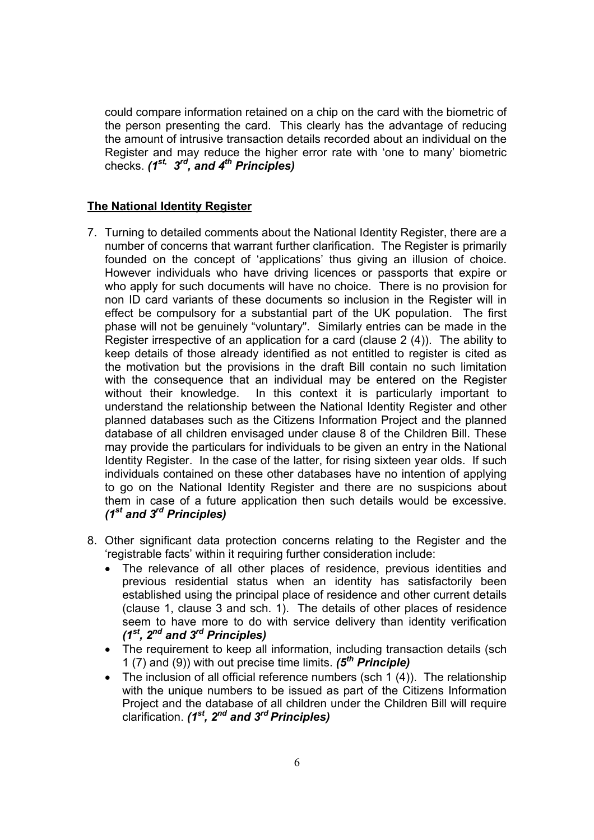could compare information retained on a chip on the card with the biometric of the person presenting the card. This clearly has the advantage of reducing the amount of intrusive transaction details recorded about an individual on the Register and may reduce the higher error rate with 'one to many' biometric checks. *(1st, 3rd, and 4th Principles)* 

# **The National Identity Register**

- 7. Turning to detailed comments about the National Identity Register, there are a number of concerns that warrant further clarification. The Register is primarily founded on the concept of 'applications' thus giving an illusion of choice. However individuals who have driving licences or passports that expire or who apply for such documents will have no choice. There is no provision for non ID card variants of these documents so inclusion in the Register will in effect be compulsory for a substantial part of the UK population. The first phase will not be genuinely "voluntary". Similarly entries can be made in the Register irrespective of an application for a card (clause 2 (4)). The ability to keep details of those already identified as not entitled to register is cited as the motivation but the provisions in the draft Bill contain no such limitation with the consequence that an individual may be entered on the Register without their knowledge. In this context it is particularly important to understand the relationship between the National Identity Register and other planned databases such as the Citizens Information Project and the planned database of all children envisaged under clause 8 of the Children Bill. These may provide the particulars for individuals to be given an entry in the National Identity Register. In the case of the latter, for rising sixteen year olds. If such individuals contained on these other databases have no intention of applying to go on the National Identity Register and there are no suspicions about them in case of a future application then such details would be excessive. *(1st and 3rd Principles)*
- 8. Other significant data protection concerns relating to the Register and the 'registrable facts' within it requiring further consideration include:
	- The relevance of all other places of residence, previous identities and previous residential status when an identity has satisfactorily been established using the principal place of residence and other current details (clause 1, clause 3 and sch. 1). The details of other places of residence seem to have more to do with service delivery than identity verification *(1st, 2nd and 3rd Principles)*
	- The requirement to keep all information, including transaction details (sch 1 (7) and (9)) with out precise time limits. *(5th Principle)*
	- The inclusion of all official reference numbers (sch 1 (4)). The relationship with the unique numbers to be issued as part of the Citizens Information Project and the database of all children under the Children Bill will require clarification. *(1st, 2nd and 3rd Principles)*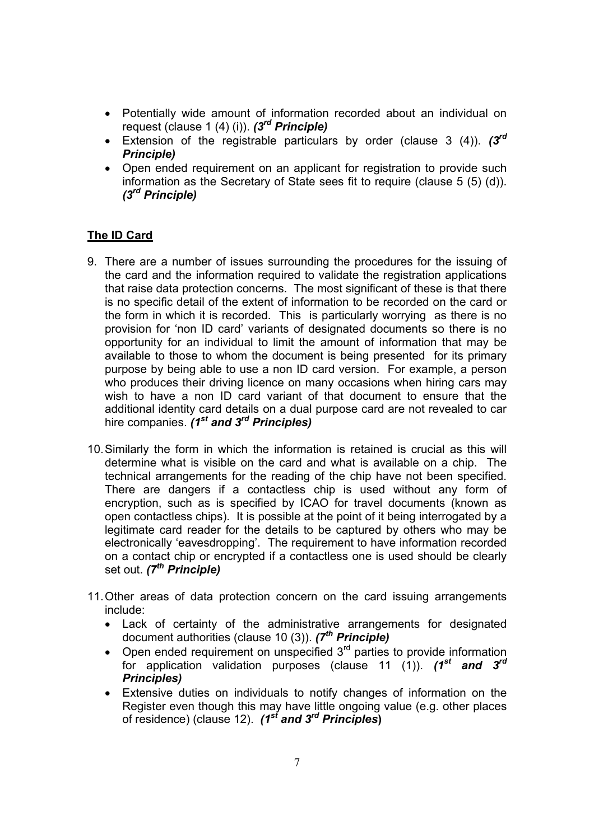- Potentially wide amount of information recorded about an individual on request (clause 1 (4) (i)). *(3rd Principle)*
- Extension of the registrable particulars by order (clause 3 (4)). *(3rd Principle)*
- Open ended requirement on an applicant for registration to provide such information as the Secretary of State sees fit to require (clause 5 (5) (d)). *(3rd Principle)*

# **The ID Card**

- 9. There are a number of issues surrounding the procedures for the issuing of the card and the information required to validate the registration applications that raise data protection concerns. The most significant of these is that there is no specific detail of the extent of information to be recorded on the card or the form in which it is recorded. This is particularly worrying as there is no provision for 'non ID card' variants of designated documents so there is no opportunity for an individual to limit the amount of information that may be available to those to whom the document is being presented for its primary purpose by being able to use a non ID card version. For example, a person who produces their driving licence on many occasions when hiring cars may wish to have a non ID card variant of that document to ensure that the additional identity card details on a dual purpose card are not revealed to car hire companies. *(1<sup>st</sup> and 3<sup>rd</sup> Principles)*
- 10. Similarly the form in which the information is retained is crucial as this will determine what is visible on the card and what is available on a chip. The technical arrangements for the reading of the chip have not been specified. There are dangers if a contactless chip is used without any form of encryption, such as is specified by ICAO for travel documents (known as open contactless chips). It is possible at the point of it being interrogated by a legitimate card reader for the details to be captured by others who may be electronically 'eavesdropping'. The requirement to have information recorded on a contact chip or encrypted if a contactless one is used should be clearly set out. *(7th Principle)*
- 11. Other areas of data protection concern on the card issuing arrangements include:
	- Lack of certainty of the administrative arrangements for designated document authorities (clause 10 (3)). *(7th Principle)*
	- Open ended requirement on unspecified  $3<sup>rd</sup>$  parties to provide information for application validation purposes (clause 11 (1)). *(1st and 3rd Principles)*
	- Extensive duties on individuals to notify changes of information on the Register even though this may have little ongoing value (e.g. other places of residence) (clause 12). *(1st and 3rd Principles***)**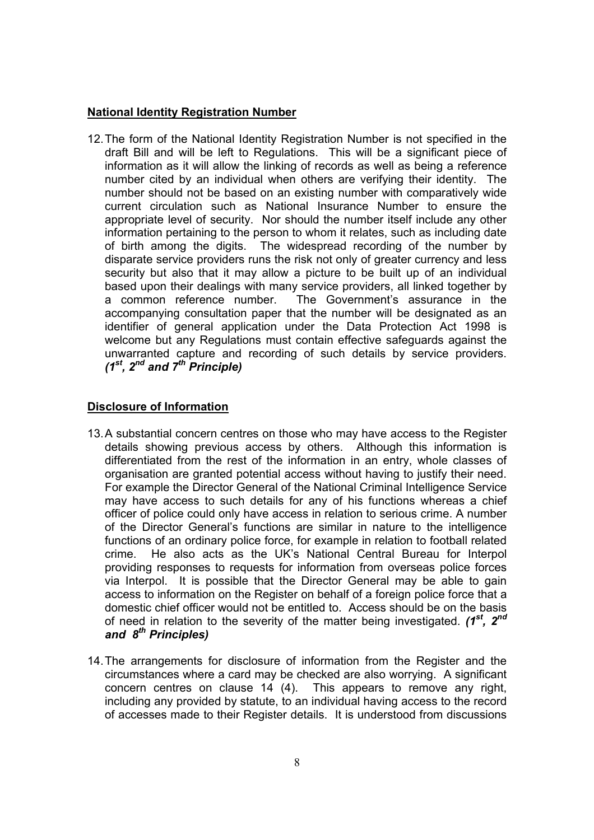# **National Identity Registration Number**

12. The form of the National Identity Registration Number is not specified in the draft Bill and will be left to Regulations. This will be a significant piece of information as it will allow the linking of records as well as being a reference number cited by an individual when others are verifying their identity. The number should not be based on an existing number with comparatively wide current circulation such as National Insurance Number to ensure the appropriate level of security. Nor should the number itself include any other information pertaining to the person to whom it relates, such as including date of birth among the digits. The widespread recording of the number by disparate service providers runs the risk not only of greater currency and less security but also that it may allow a picture to be built up of an individual based upon their dealings with many service providers, all linked together by a common reference number. The Government's assurance in the accompanying consultation paper that the number will be designated as an identifier of general application under the Data Protection Act 1998 is welcome but any Regulations must contain effective safeguards against the unwarranted capture and recording of such details by service providers. *(1st, 2nd and 7th Principle)* 

#### **Disclosure of Information**

- 13. A substantial concern centres on those who may have access to the Register details showing previous access by others. Although this information is differentiated from the rest of the information in an entry, whole classes of organisation are granted potential access without having to justify their need. For example the Director General of the National Criminal Intelligence Service may have access to such details for any of his functions whereas a chief officer of police could only have access in relation to serious crime. A number of the Director General's functions are similar in nature to the intelligence functions of an ordinary police force, for example in relation to football related crime. He also acts as the UK's National Central Bureau for Interpol providing responses to requests for information from overseas police forces via Interpol. It is possible that the Director General may be able to gain access to information on the Register on behalf of a foreign police force that a domestic chief officer would not be entitled to. Access should be on the basis of need in relation to the severity of the matter being investigated. *(1st, 2nd and 8th Principles)*
- 14. The arrangements for disclosure of information from the Register and the circumstances where a card may be checked are also worrying. A significant concern centres on clause 14 (4). This appears to remove any right, including any provided by statute, to an individual having access to the record of accesses made to their Register details. It is understood from discussions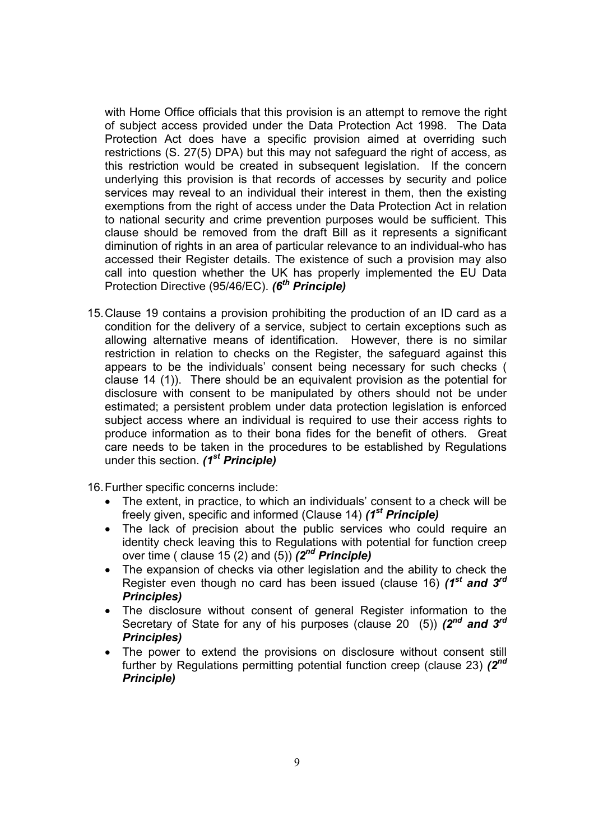with Home Office officials that this provision is an attempt to remove the right of subject access provided under the Data Protection Act 1998. The Data Protection Act does have a specific provision aimed at overriding such restrictions (S. 27(5) DPA) but this may not safeguard the right of access, as this restriction would be created in subsequent legislation. If the concern underlying this provision is that records of accesses by security and police services may reveal to an individual their interest in them, then the existing exemptions from the right of access under the Data Protection Act in relation to national security and crime prevention purposes would be sufficient. This clause should be removed from the draft Bill as it represents a significant diminution of rights in an area of particular relevance to an individual-who has accessed their Register details. The existence of such a provision may also call into question whether the UK has properly implemented the EU Data Protection Directive (95/46/EC). *(6<sup>th</sup> Principle)* 

15. Clause 19 contains a provision prohibiting the production of an ID card as a condition for the delivery of a service, subject to certain exceptions such as allowing alternative means of identification. However, there is no similar restriction in relation to checks on the Register, the safeguard against this appears to be the individuals' consent being necessary for such checks ( clause 14 (1)). There should be an equivalent provision as the potential for disclosure with consent to be manipulated by others should not be under estimated; a persistent problem under data protection legislation is enforced subject access where an individual is required to use their access rights to produce information as to their bona fides for the benefit of others. Great care needs to be taken in the procedures to be established by Regulations under this section. *(1st Principle)*

16. Further specific concerns include:

- The extent, in practice, to which an individuals' consent to a check will be freely given, specific and informed (Clause 14) *(1st Principle)*
- The lack of precision about the public services who could require an identity check leaving this to Regulations with potential for function creep over time ( clause 15 (2) and (5)) *(2nd Principle)*
- The expansion of checks via other legislation and the ability to check the Register even though no card has been issued (clause 16) *(1st and 3rd Principles)*
- The disclosure without consent of general Register information to the Secretary of State for any of his purposes (clause 20 (5)) *(2nd and 3rd Principles)*
- The power to extend the provisions on disclosure without consent still further by Regulations permitting potential function creep (clause 23) *(2nd Principle)*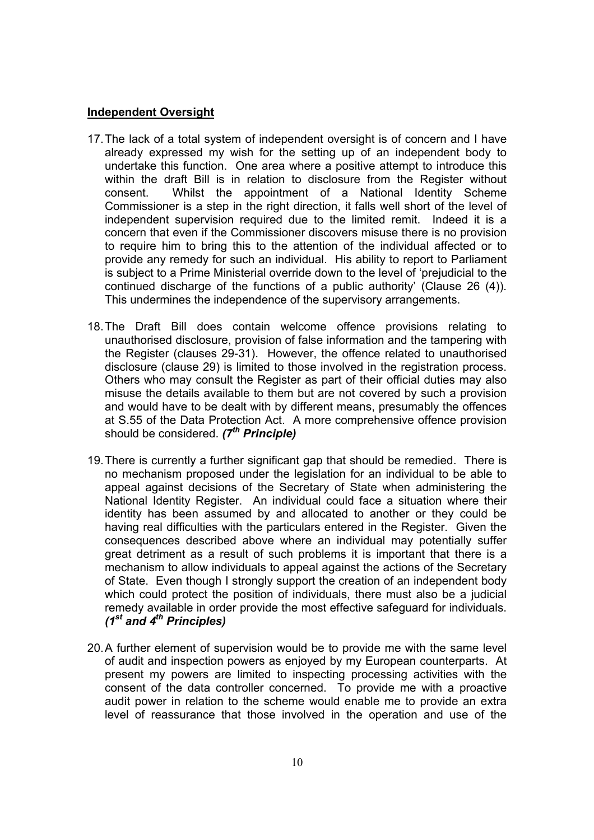#### **Independent Oversight**

- 17. The lack of a total system of independent oversight is of concern and I have already expressed my wish for the setting up of an independent body to undertake this function. One area where a positive attempt to introduce this within the draft Bill is in relation to disclosure from the Register without consent. Whilst the appointment of a National Identity Scheme Commissioner is a step in the right direction, it falls well short of the level of independent supervision required due to the limited remit. Indeed it is a concern that even if the Commissioner discovers misuse there is no provision to require him to bring this to the attention of the individual affected or to provide any remedy for such an individual. His ability to report to Parliament is subject to a Prime Ministerial override down to the level of 'prejudicial to the continued discharge of the functions of a public authority' (Clause 26 (4)). This undermines the independence of the supervisory arrangements.
- 18. The Draft Bill does contain welcome offence provisions relating to unauthorised disclosure, provision of false information and the tampering with the Register (clauses 29-31). However, the offence related to unauthorised disclosure (clause 29) is limited to those involved in the registration process. Others who may consult the Register as part of their official duties may also misuse the details available to them but are not covered by such a provision and would have to be dealt with by different means, presumably the offences at S.55 of the Data Protection Act. A more comprehensive offence provision should be considered. *(7th Principle)*
- 19. There is currently a further significant gap that should be remedied. There is no mechanism proposed under the legislation for an individual to be able to appeal against decisions of the Secretary of State when administering the National Identity Register. An individual could face a situation where their identity has been assumed by and allocated to another or they could be having real difficulties with the particulars entered in the Register. Given the consequences described above where an individual may potentially suffer great detriment as a result of such problems it is important that there is a mechanism to allow individuals to appeal against the actions of the Secretary of State. Even though I strongly support the creation of an independent body which could protect the position of individuals, there must also be a judicial remedy available in order provide the most effective safeguard for individuals. *(1st and 4th Principles)*
- 20. A further element of supervision would be to provide me with the same level of audit and inspection powers as enjoyed by my European counterparts. At present my powers are limited to inspecting processing activities with the consent of the data controller concerned. To provide me with a proactive audit power in relation to the scheme would enable me to provide an extra level of reassurance that those involved in the operation and use of the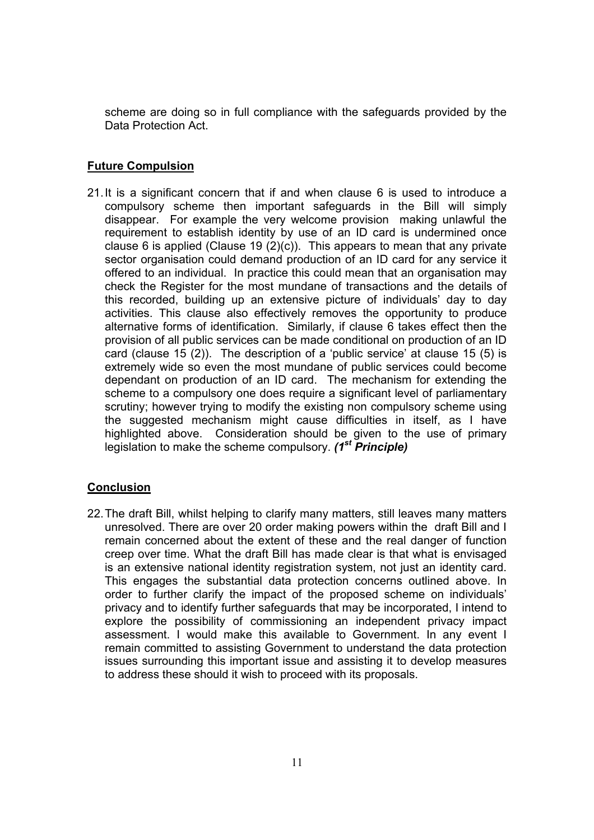scheme are doing so in full compliance with the safeguards provided by the Data Protection Act.

# **Future Compulsion**

21. It is a significant concern that if and when clause 6 is used to introduce a compulsory scheme then important safeguards in the Bill will simply disappear. For example the very welcome provision making unlawful the requirement to establish identity by use of an ID card is undermined once clause 6 is applied (Clause 19  $(2)(c)$ ). This appears to mean that any private sector organisation could demand production of an ID card for any service it offered to an individual. In practice this could mean that an organisation may check the Register for the most mundane of transactions and the details of this recorded, building up an extensive picture of individuals' day to day activities. This clause also effectively removes the opportunity to produce alternative forms of identification. Similarly, if clause 6 takes effect then the provision of all public services can be made conditional on production of an ID card (clause 15 (2)). The description of a 'public service' at clause 15 (5) is extremely wide so even the most mundane of public services could become dependant on production of an ID card. The mechanism for extending the scheme to a compulsory one does require a significant level of parliamentary scrutiny; however trying to modify the existing non compulsory scheme using the suggested mechanism might cause difficulties in itself, as I have highlighted above. Consideration should be given to the use of primary legislation to make the scheme compulsory. *(1st Principle)*

# **Conclusion**

22. The draft Bill, whilst helping to clarify many matters, still leaves many matters unresolved. There are over 20 order making powers within the draft Bill and I remain concerned about the extent of these and the real danger of function creep over time. What the draft Bill has made clear is that what is envisaged is an extensive national identity registration system, not just an identity card. This engages the substantial data protection concerns outlined above. In order to further clarify the impact of the proposed scheme on individuals' privacy and to identify further safeguards that may be incorporated, I intend to explore the possibility of commissioning an independent privacy impact assessment. I would make this available to Government. In any event I remain committed to assisting Government to understand the data protection issues surrounding this important issue and assisting it to develop measures to address these should it wish to proceed with its proposals.